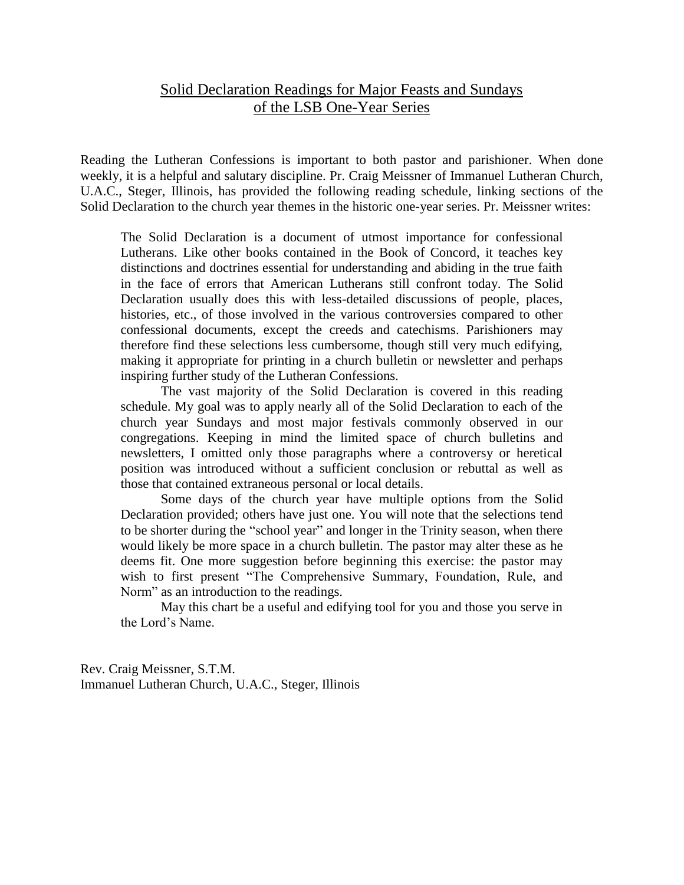## Solid Declaration Readings for Major Feasts and Sundays of the LSB One-Year Series

Reading the Lutheran Confessions is important to both pastor and parishioner. When done weekly, it is a helpful and salutary discipline. Pr. Craig Meissner of Immanuel Lutheran Church, U.A.C., Steger, Illinois, has provided the following reading schedule, linking sections of the Solid Declaration to the church year themes in the historic one-year series. Pr. Meissner writes:

The Solid Declaration is a document of utmost importance for confessional Lutherans. Like other books contained in the Book of Concord, it teaches key distinctions and doctrines essential for understanding and abiding in the true faith in the face of errors that American Lutherans still confront today. The Solid Declaration usually does this with less-detailed discussions of people, places, histories, etc., of those involved in the various controversies compared to other confessional documents, except the creeds and catechisms. Parishioners may therefore find these selections less cumbersome, though still very much edifying, making it appropriate for printing in a church bulletin or newsletter and perhaps inspiring further study of the Lutheran Confessions.

The vast majority of the Solid Declaration is covered in this reading schedule. My goal was to apply nearly all of the Solid Declaration to each of the church year Sundays and most major festivals commonly observed in our congregations. Keeping in mind the limited space of church bulletins and newsletters, I omitted only those paragraphs where a controversy or heretical position was introduced without a sufficient conclusion or rebuttal as well as those that contained extraneous personal or local details.

Some days of the church year have multiple options from the Solid Declaration provided; others have just one. You will note that the selections tend to be shorter during the "school year" and longer in the Trinity season, when there would likely be more space in a church bulletin. The pastor may alter these as he deems fit. One more suggestion before beginning this exercise: the pastor may wish to first present "The Comprehensive Summary, Foundation, Rule, and Norm" as an introduction to the readings.

May this chart be a useful and edifying tool for you and those you serve in the Lord's Name.

Rev. Craig Meissner, S.T.M. Immanuel Lutheran Church, U.A.C., Steger, Illinois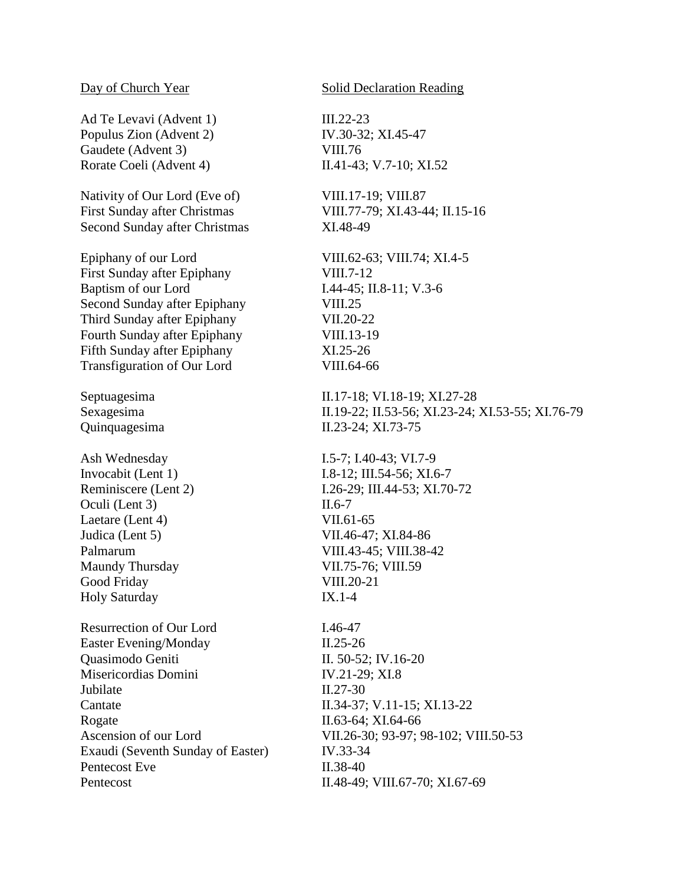Ad Te Levavi (Advent 1) III.22-23 Populus Zion (Advent 2) IV.30-32; XI.45-47 Gaudete (Advent 3) VIII.76 Rorate Coeli (Advent 4) II.41-43; V.7-10; XI.52

Nativity of Our Lord (Eve of) VIII.17-19; VIII.87 First Sunday after Christmas VIII.77-79; XI.43-44; II.15-16 Second Sunday after Christmas XI.48-49

Epiphany of our Lord VIII.62-63; VIII.74; XI.4-5 First Sunday after Epiphany VIII.7-12 Baptism of our Lord I.44-45; II.8-11; V.3-6 Second Sunday after Epiphany VIII.25 Third Sunday after Epiphany VII.20-22 Fourth Sunday after Epiphany VIII.13-19 Fifth Sunday after Epiphany XI.25-26 Transfiguration of Our Lord VIII.64-66

Ash Wednesday I.5-7; I.40-43; VI.7-9 Oculi (Lent 3) II.6-7 Laetare (Lent 4) VII.61-65 Judica (Lent 5) VII.46-47; XI.84-86 Maundy Thursday VII.75-76; VIII.59 Good Friday VIII.20-21 Holy Saturday IX.1-4

Resurrection of Our Lord I.46-47 Easter Evening/Monday II.25-26 Quasimodo Geniti II. 50-52; IV.16-20 Misericordias Domini IV.21-29; XI.8 Jubilate II.27-30 Cantate II.34-37; V.11-15; XI.13-22 Rogate II.63-64; XI.64-66 Exaudi (Seventh Sunday of Easter) IV.33-34 Pentecost Eve II.38-40 Pentecost II.48-49; VIII.67-70; XI.67-69

## Day of Church Year Solid Declaration Reading

Septuagesima II.17-18; VI.18-19; XI.27-28 Sexagesima II.19-22; II.53-56; XI.23-24; XI.53-55; XI.76-79 Quinquagesima II.23-24; XI.73-75

Invocabit (Lent 1) I.8-12; III.54-56; XI.6-7 Reminiscere (Lent 2) I.26-29; III.44-53; XI.70-72 Palmarum VIII.43-45; VIII.38-42

Ascension of our Lord VII.26-30; 93-97; 98-102; VIII.50-53